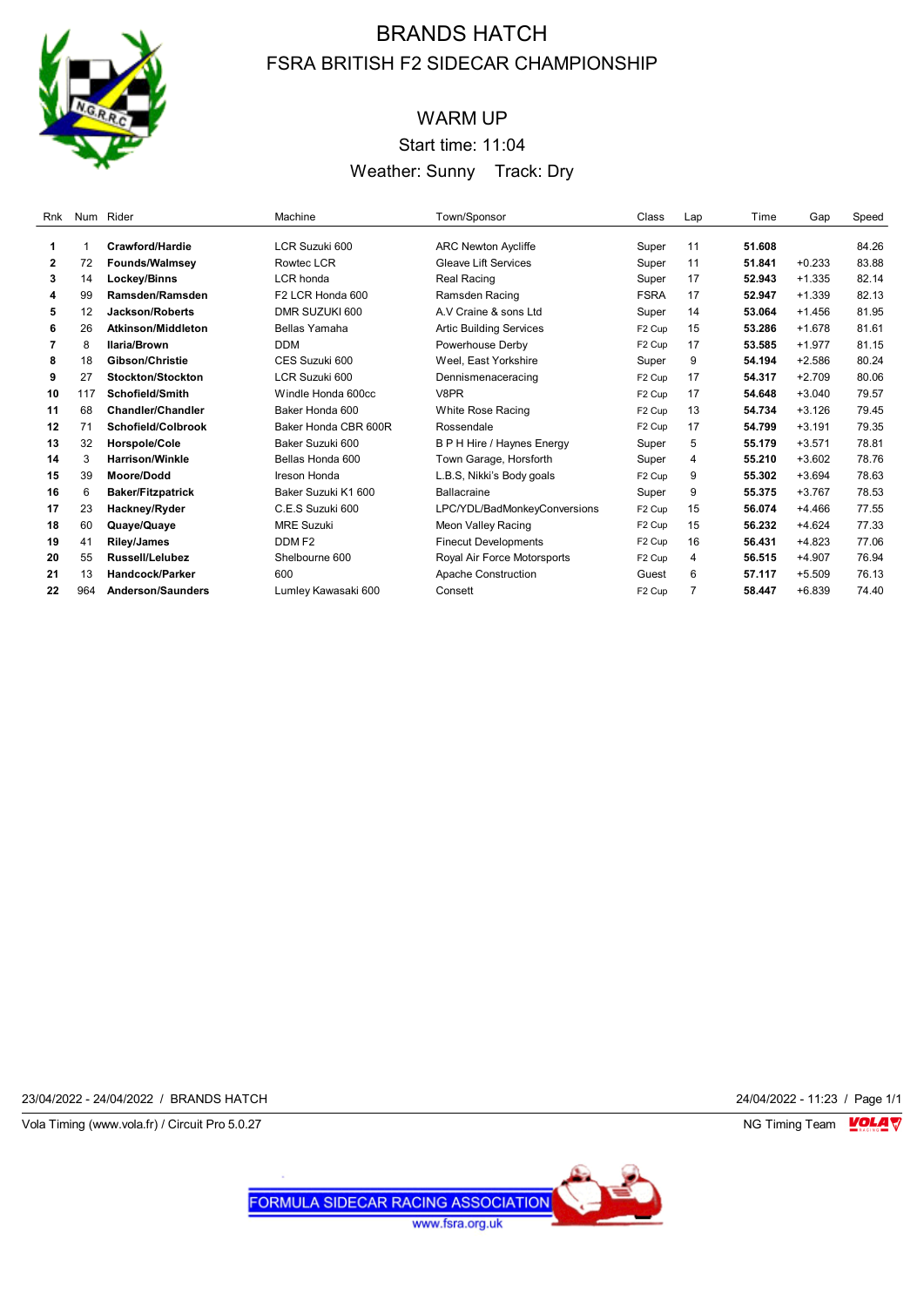

# WARM UP Start time: 11:04 Weather: Sunny Track: Dry

| Rnk          |     | Num Rider                 | Machine                      | Town/Sponsor                   | Class              | Lap | Time   | Gap      | Speed |
|--------------|-----|---------------------------|------------------------------|--------------------------------|--------------------|-----|--------|----------|-------|
|              |     |                           |                              |                                |                    |     |        |          |       |
| 1            |     | Crawford/Hardie           | LCR Suzuki 600               | <b>ARC Newton Aycliffe</b>     | Super              | 11  | 51.608 |          | 84.26 |
| $\mathbf{2}$ | 72  | <b>Founds/Walmsey</b>     | <b>Rowtec LCR</b>            | <b>Gleave Lift Services</b>    | Super              | 11  | 51.841 | $+0.233$ | 83.88 |
| 3            | 14  | Lockey/Binns              | LCR honda                    | Real Racing                    | Super              | 17  | 52.943 | $+1.335$ | 82.14 |
| 4            | 99  | Ramsden/Ramsden           | F <sub>2</sub> LCR Honda 600 | Ramsden Racing                 | <b>FSRA</b>        | 17  | 52.947 | $+1.339$ | 82.13 |
| 5            | 12  | <b>Jackson/Roberts</b>    | DMR SUZUKI 600               | A.V Craine & sons Ltd          | Super              | 14  | 53.064 | $+1.456$ | 81.95 |
| 6            | 26  | <b>Atkinson/Middleton</b> | Bellas Yamaha                | <b>Artic Building Services</b> | F <sub>2</sub> Cup | 15  | 53.286 | $+1.678$ | 81.61 |
| 7            | 8   | <b>Ilaria/Brown</b>       | <b>DDM</b>                   | Powerhouse Derby               | F <sub>2</sub> Cup | 17  | 53.585 | $+1.977$ | 81.15 |
| 8            | 18  | Gibson/Christie           | CES Suzuki 600               | Weel. East Yorkshire           | Super              | 9   | 54.194 | $+2.586$ | 80.24 |
| 9            | 27  | Stockton/Stockton         | LCR Suzuki 600               | Dennismenaceracing             | F <sub>2</sub> Cup | 17  | 54.317 | $+2.709$ | 80.06 |
| 10           | 117 | Schofield/Smith           | Windle Honda 600cc           | V8PR                           | F <sub>2</sub> Cup | 17  | 54.648 | $+3.040$ | 79.57 |
| 11           | 68  | <b>Chandler/Chandler</b>  | Baker Honda 600              | White Rose Racing              | F <sub>2</sub> Cup | 13  | 54.734 | $+3.126$ | 79.45 |
| 12           | 71  | Schofield/Colbrook        | Baker Honda CBR 600R         | Rossendale                     | F <sub>2</sub> Cup | 17  | 54.799 | $+3.191$ | 79.35 |
| 13           | 32  | Horspole/Cole             | Baker Suzuki 600             | B P H Hire / Haynes Energy     | Super              | 5   | 55.179 | $+3.571$ | 78.81 |
| 14           | 3   | <b>Harrison/Winkle</b>    | Bellas Honda 600             | Town Garage, Horsforth         | Super              | 4   | 55.210 | $+3.602$ | 78.76 |
| 15           | 39  | <b>Moore/Dodd</b>         | Ireson Honda                 | L.B.S, Nikki's Body goals      | F <sub>2</sub> Cup | 9   | 55.302 | $+3.694$ | 78.63 |
| 16           | 6   | <b>Baker/Fitzpatrick</b>  | Baker Suzuki K1 600          | Ballacraine                    | Super              | 9   | 55.375 | $+3.767$ | 78.53 |
| 17           | 23  | Hackney/Ryder             | C.E.S Suzuki 600             | LPC/YDL/BadMonkeyConversions   | F <sub>2</sub> Cup | 15  | 56.074 | $+4.466$ | 77.55 |
| 18           | 60  | Quaye/Quaye               | <b>MRE Suzuki</b>            | Meon Valley Racing             | F <sub>2</sub> Cup | 15  | 56.232 | $+4.624$ | 77.33 |
| 19           | 41  | <b>Riley/James</b>        | DDM F <sub>2</sub>           | <b>Finecut Developments</b>    | F <sub>2</sub> Cup | 16  | 56.431 | $+4.823$ | 77.06 |
| 20           | 55  | <b>Russell/Lelubez</b>    | Shelbourne 600               | Royal Air Force Motorsports    | F <sub>2</sub> Cup | 4   | 56.515 | $+4.907$ | 76.94 |
| 21           | 13  | <b>Handcock/Parker</b>    | 600                          | Apache Construction            | Guest              | 6   | 57.117 | $+5.509$ | 76.13 |
| 22           | 964 | <b>Anderson/Saunders</b>  | Lumley Kawasaki 600          | Consett                        | F <sub>2</sub> Cup |     | 58.447 | $+6.839$ | 74.40 |

23/04/2022 - 24/04/2022 / BRANDS HATCH 24/04/2022 - 11:23 / Page 1/1

Vola Timing (www.vola.fr) / Circuit Pro 5.0.27 **NG Timing Team** Vola Timing Team VOLA V

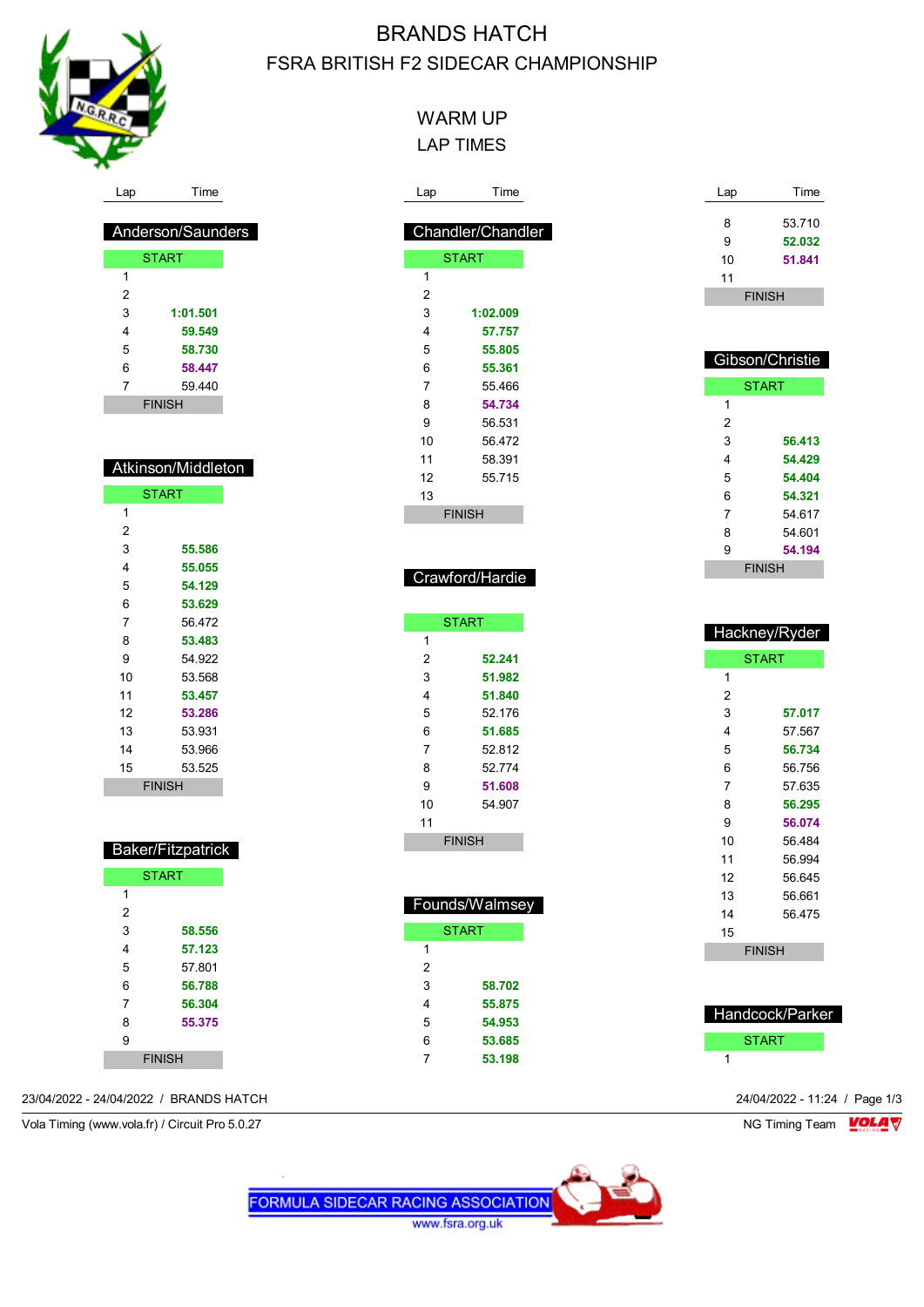

## WARM UP LAP TIMES

| Lap | Time              |
|-----|-------------------|
|     | Chandler/Chandler |
|     | <b>START</b>      |
| 1   |                   |
| 2   |                   |
| 3   | 1:02.009          |
| 4   | 57.757            |
| 5   | 55.805            |
| 6   | 55.361            |
| 7   | 55.466            |
| 8   | 54.734            |
| 9   | 56.531            |
| 10  | 56.472            |
| 11  | 58.391            |
| 12  | 55.715            |
| 13  |                   |
|     | FINISH            |

| Lap | Time          |
|-----|---------------|
|     |               |
| 8   | 53.710        |
| 9   | 52.032        |
| 10  | 51.841        |
| 11  |               |
|     | <b>FINISH</b> |

| Gibson/Christie |               |  |  |  |
|-----------------|---------------|--|--|--|
|                 | <b>START</b>  |  |  |  |
| 1               |               |  |  |  |
| 2               |               |  |  |  |
| 3               | 56.413        |  |  |  |
| 4               | 54.429        |  |  |  |
| 5               | 54.404        |  |  |  |
| 6               | 54.321        |  |  |  |
| 7               | 54 617        |  |  |  |
| 8               | 54 601        |  |  |  |
| 9               | 54.194        |  |  |  |
|                 | <b>FINISH</b> |  |  |  |

| Hackney/Ryder |               |  |  |  |  |
|---------------|---------------|--|--|--|--|
|               | <b>START</b>  |  |  |  |  |
| 1             |               |  |  |  |  |
| 2             |               |  |  |  |  |
| 3             | 57.017        |  |  |  |  |
| 4             | 57.567        |  |  |  |  |
| 5             | 56.734        |  |  |  |  |
| 6             | 56.756        |  |  |  |  |
| 7             | 57.635        |  |  |  |  |
| 8             | 56.295        |  |  |  |  |
| 9             | 56.074        |  |  |  |  |
| 10            | 56 484        |  |  |  |  |
| 11            | 56.994        |  |  |  |  |
| 12            | 56.645        |  |  |  |  |
| 13            | 56.661        |  |  |  |  |
| 14            | 56.475        |  |  |  |  |
| 15            |               |  |  |  |  |
|               | <b>FINISH</b> |  |  |  |  |
|               |               |  |  |  |  |

| <b>Handcock/Parker</b> |
|------------------------|
| <b>START</b>           |
|                        |

Lap Time

| Anderson/Saunders |  |
|-------------------|--|
|                   |  |
| <b>START</b>      |  |

| 1             |          |  |
|---------------|----------|--|
| 2             |          |  |
| 3             | 1:01.501 |  |
| 4             | 59.549   |  |
| 5             | 58.730   |  |
| 6             | 58.447   |  |
| 7             | 59.440   |  |
| <b>FINISH</b> |          |  |

| Atkinson/Middleton |
|--------------------|
|                    |

|    | <b>START</b>  |
|----|---------------|
| 1  |               |
| 2  |               |
| 3  | 55.586        |
| 4  | 55.055        |
| 5  | 54.129        |
| 6  | 53.629        |
| 7  | 56 472        |
| 8  | 53.483        |
| 9  | 54.922        |
| 10 | 53.568        |
| 11 | 53.457        |
| 12 | 53.286        |
| 13 | 53.931        |
| 14 | 53.966        |
| 15 | 53.525        |
|    | <b>FINISH</b> |
|    |               |

| Baker/Fitzpatrick |  |
|-------------------|--|
|                   |  |

|   | <b>START</b>  |
|---|---------------|
| 1 |               |
| 2 |               |
| 3 | 58.556        |
| 4 | 57.123        |
| 5 | 57.801        |
| 6 | 56.788        |
| 7 | 56.304        |
| 8 | 55.375        |
| 9 |               |
|   | <b>FINISH</b> |

| 1  |               |
|----|---------------|
| 2  |               |
| 3  | 1:02.009      |
| 4  | 57.757        |
| 5  | 55.805        |
| 6  | 55.361        |
| 7  | 55.466        |
| 8  | 54.734        |
| 9  | 56.531        |
| 10 | 56.472        |
| 11 | 58.391        |
| 12 | 55.715        |
| 13 |               |
|    | <b>FINISH</b> |
|    |               |

## Crawford/Hardie

|    | <b>START</b>  |
|----|---------------|
| 1  |               |
| 2  | 52.241        |
| 3  | 51.982        |
| 4  | 51.840        |
| 5  | 52 176        |
| 6  | 51.685        |
| 7  | 52 812        |
| 8  | 52 774        |
| 9  | 51.608        |
| 10 | 54 907        |
| 11 |               |
|    | <b>FINISH</b> |
|    |               |

I

| Founds/Walmsey |              |  |
|----------------|--------------|--|
|                | <b>START</b> |  |
| 1              |              |  |
| 2              |              |  |
| 3              | 58.702       |  |
| 4              | 55.875       |  |
| 5              | 54.953       |  |
| 6              | 53.685       |  |
|                | 53.198       |  |

## 23/04/2022 - 24/04/2022 / BRANDS HATCH 24/04/2022 - 11:24 / Page 1/3

Vola Timing (www.vola.fr) / Circuit Pro 5.0.27 NG Timing Team VOLA V

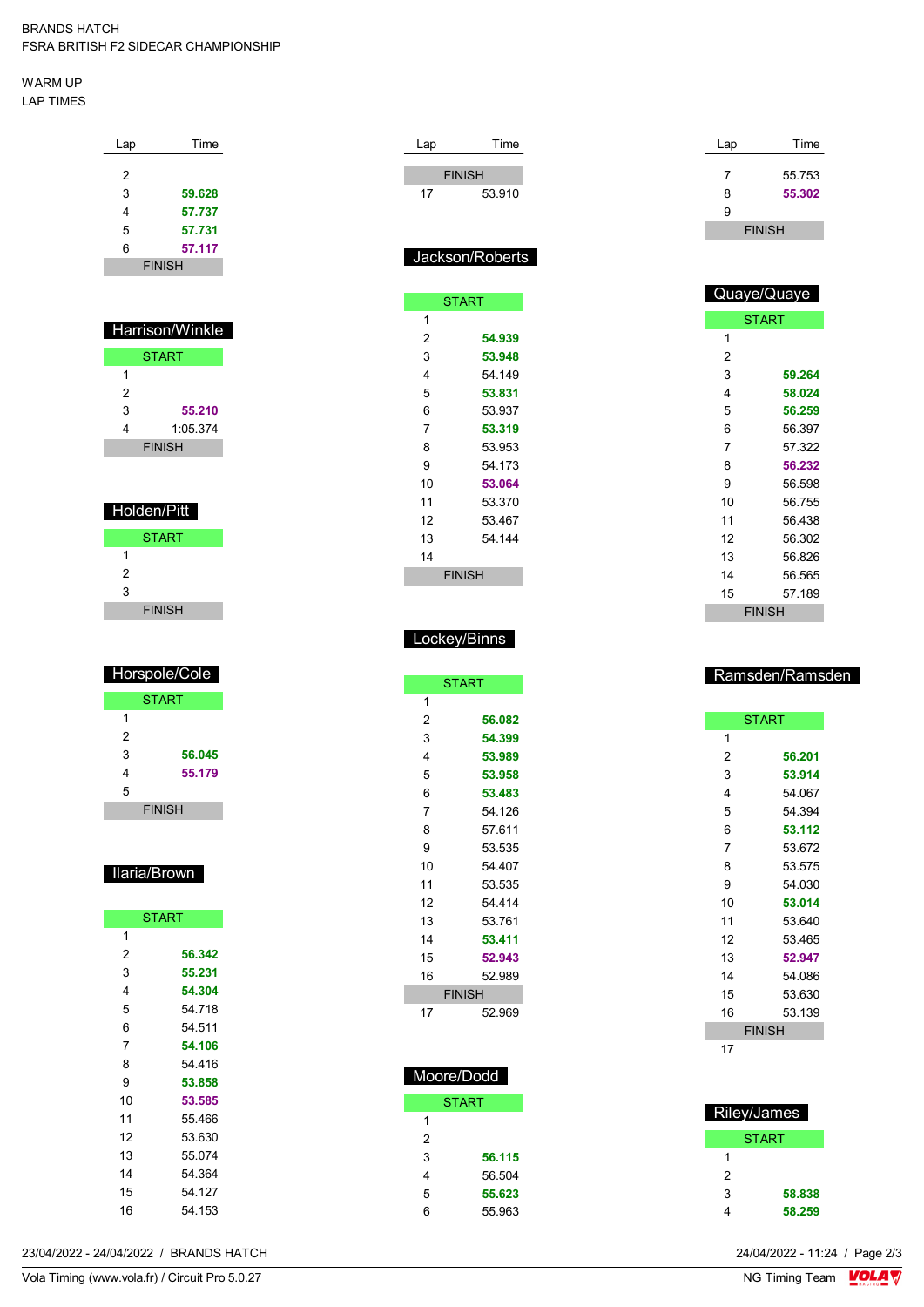#### WARM UP LAP TIMES

| Time<br>Lap   |  |
|---------------|--|
| 2             |  |
|               |  |
| 3<br>59.628   |  |
| 4<br>57.737   |  |
| 5<br>57.731   |  |
| 6<br>57.117   |  |
| <b>FINISH</b> |  |

| <b>Harrison/Winkle</b> |               |  |
|------------------------|---------------|--|
| <b>START</b>           |               |  |
| 1                      |               |  |
| 2                      |               |  |
| 3                      | 55.210        |  |
| 4                      | 1:05.374      |  |
|                        | <b>FINISH</b> |  |

| Holden/Pitt   |
|---------------|
| <b>START</b>  |
| 1             |
| 2             |
| 3             |
| <b>FINISH</b> |

| Horspole/Cole |               |  |  |
|---------------|---------------|--|--|
| <b>START</b>  |               |  |  |
| 1             |               |  |  |
| 2             |               |  |  |
| 3             | 56.045        |  |  |
| 4             | 55.179        |  |  |
| 5             |               |  |  |
|               | <b>FINISH</b> |  |  |

#### Ilaria/Brown

|    | <b>START</b> |
|----|--------------|
| 1  |              |
| 2  | 56.342       |
| 3  | 55.231       |
| 4  | 54.304       |
| 5  | 54.718       |
| 6  | 54.511       |
| 7  | 54.106       |
| 8  | 54 416       |
| 9  | 53.858       |
| 10 | 53.585       |
| 11 | 55.466       |
| 12 | 53.630       |
| 13 | 55.074       |
| 14 | 54.364       |
| 15 | 54.127       |
| 16 | 54.153       |

| ∟ap | Time            |  | Lap | Time          |
|-----|-----------------|--|-----|---------------|
|     | <b>FINISH</b>   |  | 7   | 55.753        |
| 17  | 53.910          |  | 8   | 55.302        |
|     |                 |  | 9   |               |
|     |                 |  |     | <b>FINISH</b> |
|     | Jackson/Roberts |  |     | 0.1212100     |

|    | <b>START</b>  |  |
|----|---------------|--|
| 1  |               |  |
| 2  | 54.939        |  |
| 3  | 53.948        |  |
| 4  | 54.149        |  |
| 5  | 53.831        |  |
| 6  | 53.937        |  |
| 7  | 53.319        |  |
| 8  | 53.953        |  |
| 9  | 54.173        |  |
| 10 | 53.064        |  |
| 11 | 53.370        |  |
| 12 | 53 467        |  |
| 13 | 54 144        |  |
| 14 |               |  |
|    | <b>FINISH</b> |  |
|    |               |  |

| Quaye/Quaye   |        |  |  |
|---------------|--------|--|--|
| <b>START</b>  |        |  |  |
| 1             |        |  |  |
| 2             |        |  |  |
| 3             | 59.264 |  |  |
| 4             | 58.024 |  |  |
| 5             | 56.259 |  |  |
| 6             | 56.397 |  |  |
| 7             | 57.322 |  |  |
| 8             | 56.232 |  |  |
| 9             | 56.598 |  |  |
| 10            | 56.755 |  |  |
| 11            | 56.438 |  |  |
| 12            | 56.302 |  |  |
| 13            | 56.826 |  |  |
| 14            | 56.565 |  |  |
| 15            | 57.189 |  |  |
| <b>FINISH</b> |        |  |  |

## Lockey/Binns

| <b>START</b> |               |  |
|--------------|---------------|--|
| 1            |               |  |
| 2            | 56.082        |  |
| 3            | 54.399        |  |
| 4            | 53.989        |  |
| 5            | 53.958        |  |
| 6            | 53.483        |  |
| 7            | 54.126        |  |
| 8            | 57.611        |  |
| 9            | 53.535        |  |
| 10           | 54.407        |  |
| 11           | 53.535        |  |
| 12           | 54 414        |  |
| 13           | 53.761        |  |
| 14           | 53.411        |  |
| 15           | 52.943        |  |
| 16           | 52.989        |  |
|              | <b>FINISH</b> |  |
| 17           | 52.969        |  |

## Moore/Dodd

| <b>START</b> |
|--------------|
|              |
|              |
| 56.115       |
| 56.504       |
| 55.623       |
| 55.963       |
|              |

## Ramsden/Ramsden

|    | <b>START</b>  |
|----|---------------|
| 1  |               |
| 2  | 56.201        |
| 3  | 53.914        |
| 4  | 54.067        |
| 5  | 54.394        |
| 6  | 53.112        |
| 7  | 53.672        |
| 8  | 53.575        |
| 9  | 54.030        |
| 10 | 53.014        |
| 11 | 53 640        |
| 12 | 53.465        |
| 13 | 52.947        |
| 14 | 54.086        |
| 15 | 53.630        |
| 16 | 53.139        |
|    | <b>FINISH</b> |
| 17 |               |

| Riley/James  |        |
|--------------|--------|
| <b>START</b> |        |
|              |        |
| 2            |        |
| 3            | 58.838 |
|              | 58.259 |

23/04/2022 - 24/04/2022 / BRANDS HATCH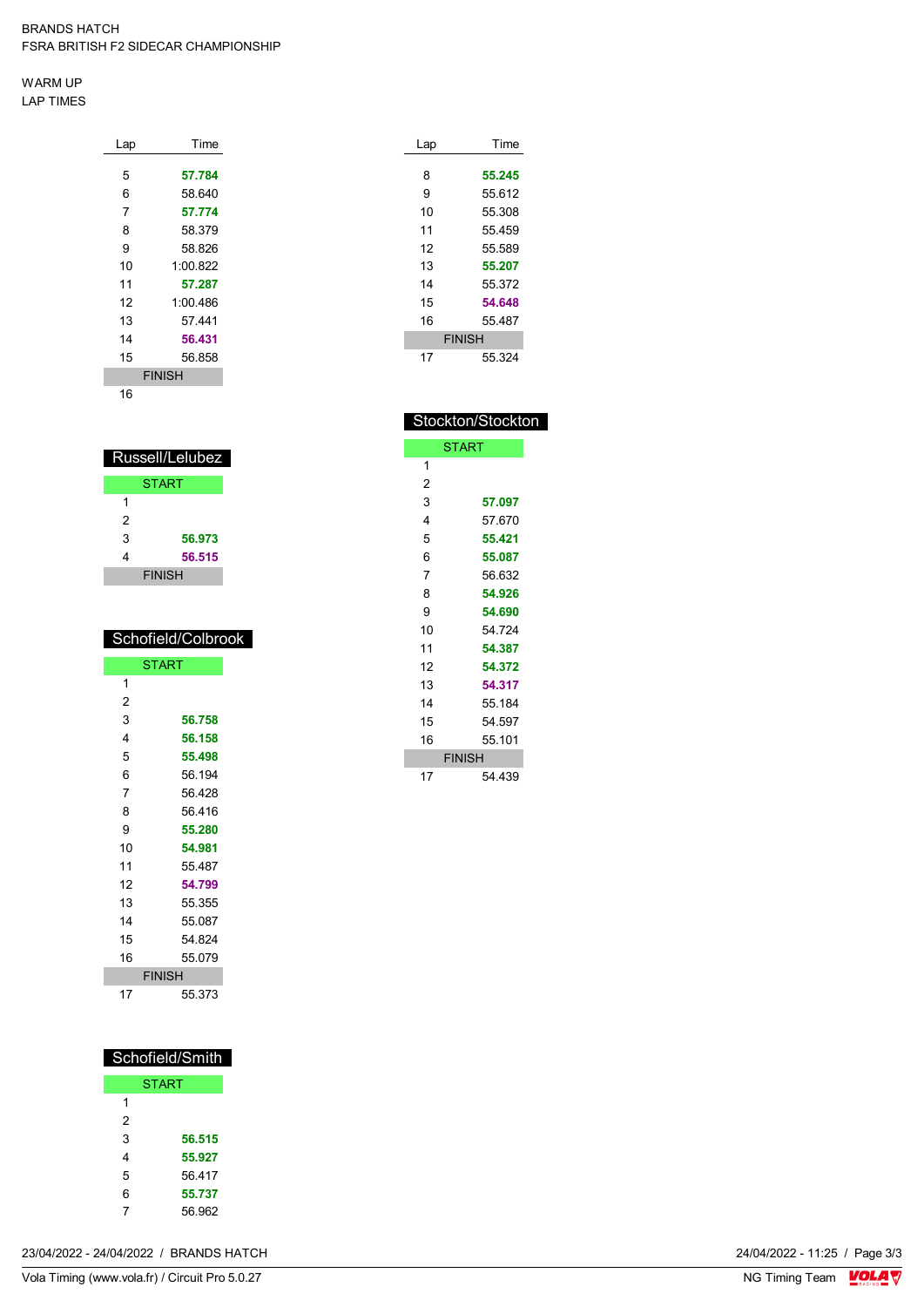WARM UP LAP TIMES

| Lap | Time          |
|-----|---------------|
|     |               |
| 5   | 57.784        |
| 6   | 58.640        |
| 7   | 57.774        |
| 8   | 58.379        |
| 9   | 58.826        |
| 10  | 1:00.822      |
| 11  | 57.287        |
| 12  | 1:00.486      |
| 13  | 57.441        |
| 14  | 56.431        |
| 15  | 56.858        |
|     | <b>FINISH</b> |
| 16  |               |

|   | Russell/Lelubez |
|---|-----------------|
|   | <b>START</b>    |
| 1 |                 |
| 2 |                 |
| 3 | 56.973          |
| 4 | 56.515          |
|   | <b>FINISH</b>   |

## Schofield/Colbrook

|    | <b>START</b>  |
|----|---------------|
| 1  |               |
| 2  |               |
| 3  | 56.758        |
| 4  | 56.158        |
| 5  | 55,498        |
| 6  | 56.194        |
| 7  | 56.428        |
| 8  | 56 416        |
| 9  | 55.280        |
| 10 | 54.981        |
| 11 | 55.487        |
| 12 | 54.799        |
| 13 | 55.355        |
| 14 | 55.087        |
| 15 | 54.824        |
| 16 | 55.079        |
|    | <b>FINISH</b> |
| 17 | 55.373        |

| Schofield/Smith |        |  |  |  |  |
|-----------------|--------|--|--|--|--|
| <b>START</b>    |        |  |  |  |  |
| 1               |        |  |  |  |  |
| 2               |        |  |  |  |  |
| 3               | 56.515 |  |  |  |  |
| 4               | 55.927 |  |  |  |  |
| 5               | 56417  |  |  |  |  |
| 6               | 55.737 |  |  |  |  |
| 7               | 56.962 |  |  |  |  |

| Lap           | Time   |  |  |
|---------------|--------|--|--|
| 8             |        |  |  |
|               | 55.245 |  |  |
| 9             | 55.612 |  |  |
| 10            | 55.308 |  |  |
| 11            | 55.459 |  |  |
| 12            | 55.589 |  |  |
| 13            | 55.207 |  |  |
| 14            | 55.372 |  |  |
| 15            | 54.648 |  |  |
| 16            | 55.487 |  |  |
| <b>FINISH</b> |        |  |  |
| 17            | 55 324 |  |  |

| Stockton/Stockton |               |  |  |  |  |  |
|-------------------|---------------|--|--|--|--|--|
| START             |               |  |  |  |  |  |
| 1                 |               |  |  |  |  |  |
| 2                 |               |  |  |  |  |  |
| 3                 | 57.097        |  |  |  |  |  |
| 4                 | 57 670        |  |  |  |  |  |
| 5                 | 55.421        |  |  |  |  |  |
| 6                 | 55.087        |  |  |  |  |  |
| 7                 | 56.632        |  |  |  |  |  |
| 8                 | 54.926        |  |  |  |  |  |
| 9                 | 54.690        |  |  |  |  |  |
| 10                | 54 724        |  |  |  |  |  |
| 11                | 54.387        |  |  |  |  |  |
| 12                | 54 372        |  |  |  |  |  |
| 13                | 54.317        |  |  |  |  |  |
| 14                | 55.184        |  |  |  |  |  |
| 15                | 54.597        |  |  |  |  |  |
| 16                | 55.101        |  |  |  |  |  |
|                   | <b>FINISH</b> |  |  |  |  |  |
| 17                | 54 439        |  |  |  |  |  |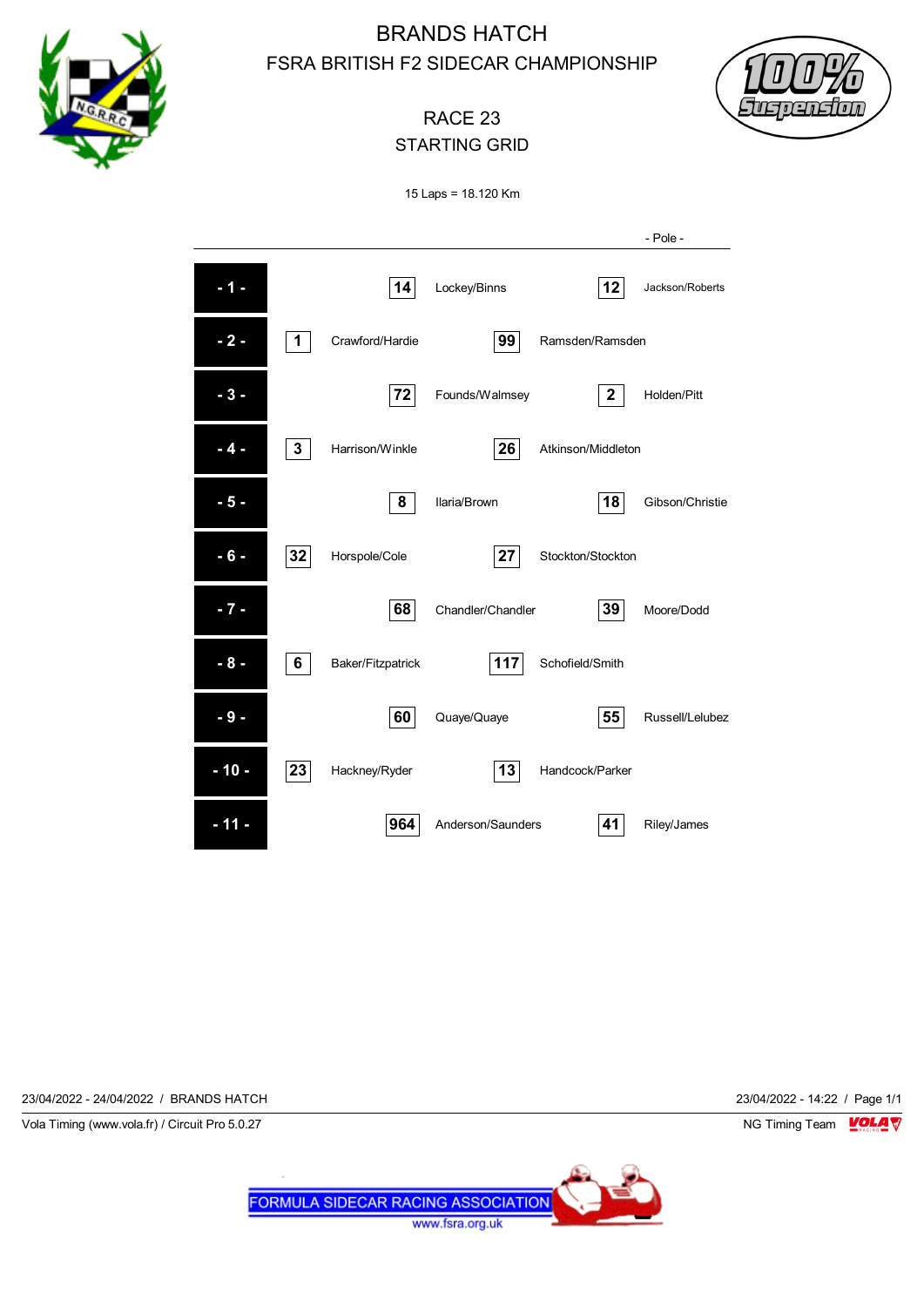



# RACE 23 STARTING GRID

15 Laps = 18.120 Km



23/04/2022 - 24/04/2022 / BRANDS HATCH 23/04/2022 - 14:22 / Page 1/1

Vola Timing (www.vola.fr) / Circuit Pro 5.0.27 NG Timing Team NG Timing Team NG Timing Team NG Timing Team NG

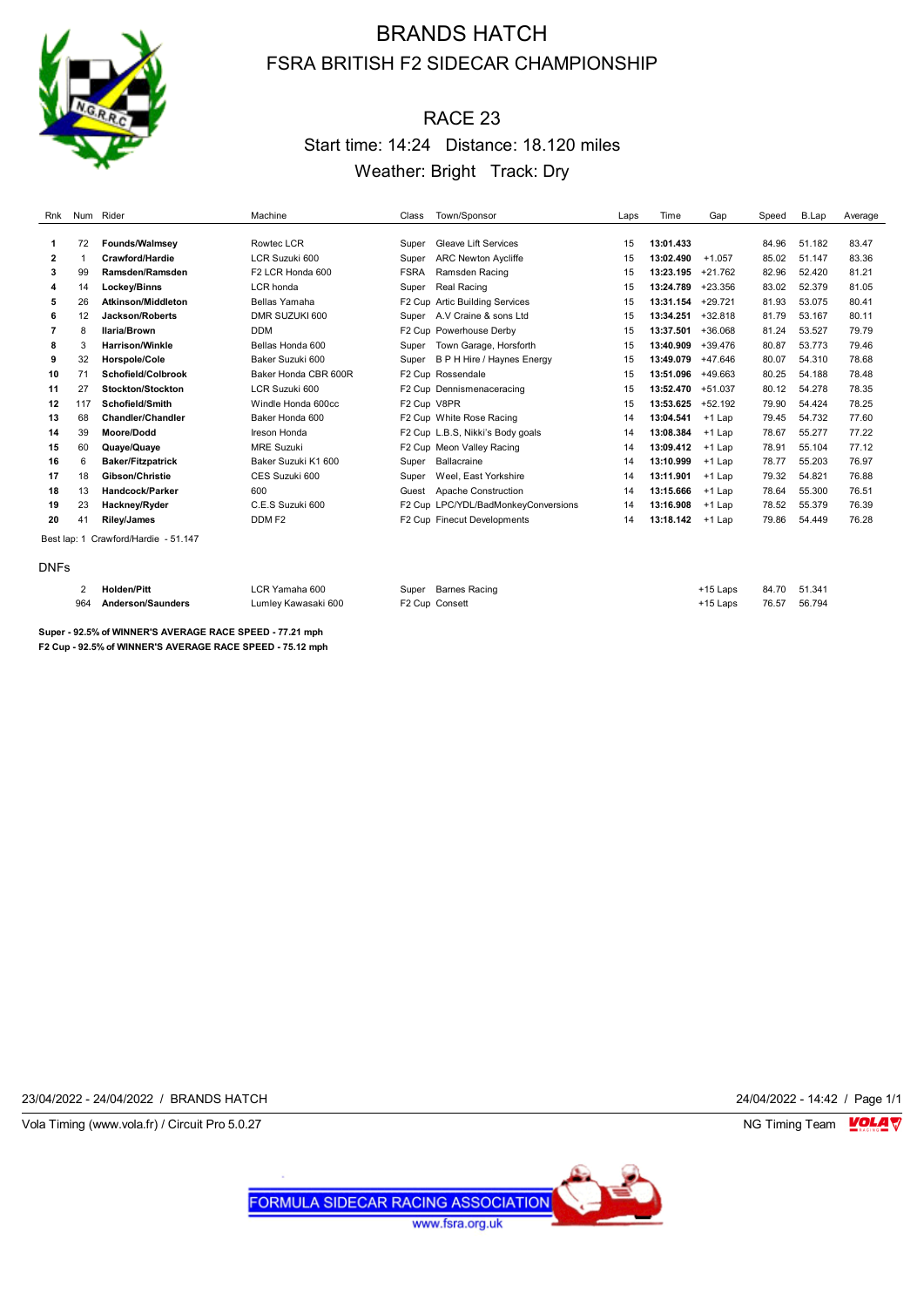

# RACE 23 Start time: 14:24 Distance: 18.120 miles Weather: Bright Track: Dry

| Rnk                                  | Num Rider |                           | Machine              | Class       | Town/Sponsor                        | Laps | Time      | Gap       | Speed | B.Lap  | Average |
|--------------------------------------|-----------|---------------------------|----------------------|-------------|-------------------------------------|------|-----------|-----------|-------|--------|---------|
|                                      |           |                           |                      |             |                                     |      |           |           |       |        |         |
| 1                                    | 72        | <b>Founds/Walmsey</b>     | Rowtec LCR           | Super       | <b>Gleave Lift Services</b>         | 15   | 13:01.433 |           | 84.96 | 51.182 | 83.47   |
| $\overline{2}$                       |           | Crawford/Hardie           | LCR Suzuki 600       | Super       | <b>ARC Newton Aycliffe</b>          | 15   | 13:02.490 | $+1.057$  | 85.02 | 51.147 | 83.36   |
| 3                                    | 99        | Ramsden/Ramsden           | F2 LCR Honda 600     | <b>FSRA</b> | Ramsden Racing                      | 15   | 13:23.195 | $+21.762$ | 82.96 | 52.420 | 81.21   |
| 4                                    | 14        | Lockey/Binns              | LCR honda            | Super       | Real Racing                         | 15   | 13:24.789 | $+23.356$ | 83.02 | 52.379 | 81.05   |
| 5                                    | 26        | <b>Atkinson/Middleton</b> | Bellas Yamaha        |             | F2 Cup Artic Building Services      | 15   | 13:31.154 | $+29.721$ | 81.93 | 53.075 | 80.41   |
| 6                                    | 12        | Jackson/Roberts           | DMR SUZUKI 600       | Super       | A.V Craine & sons Ltd               | 15   | 13:34.251 | $+32.818$ | 81.79 | 53.167 | 80.11   |
| 7                                    | 8         | Ilaria/Brown              | <b>DDM</b>           |             | F2 Cup Powerhouse Derby             | 15   | 13:37.501 | +36.068   | 81.24 | 53.527 | 79.79   |
| 8                                    | 3         | <b>Harrison/Winkle</b>    | Bellas Honda 600     | Super       | Town Garage, Horsforth              | 15   | 13:40.909 | $+39.476$ | 80.87 | 53.773 | 79.46   |
| 9                                    | 32        | <b>Horspole/Cole</b>      | Baker Suzuki 600     | Super       | B P H Hire / Haynes Energy          | 15   | 13:49.079 | +47.646   | 80.07 | 54.310 | 78.68   |
| 10                                   | 71        | Schofield/Colbrook        | Baker Honda CBR 600R |             | F2 Cup Rossendale                   | 15   | 13:51.096 | +49.663   | 80.25 | 54.188 | 78.48   |
| 11                                   | 27        | Stockton/Stockton         | LCR Suzuki 600       |             | F2 Cup Dennismenaceracing           | 15   | 13:52.470 | $+51.037$ | 80.12 | 54.278 | 78.35   |
| 12                                   | 117       | Schofield/Smith           | Windle Honda 600cc   | F2 Cup V8PR |                                     | 15   | 13:53.625 | $+52.192$ | 79.90 | 54.424 | 78.25   |
| 13                                   | 68        | <b>Chandler/Chandler</b>  | Baker Honda 600      |             | F2 Cup White Rose Racing            | 14   | 13:04.541 | $+1$ Lap  | 79.45 | 54.732 | 77.60   |
| 14                                   | 39        | Moore/Dodd                | Ireson Honda         |             | F2 Cup L.B.S, Nikki's Body goals    | 14   | 13:08.384 | $+1$ Lap  | 78.67 | 55.277 | 77.22   |
| 15                                   | 60        | Quaye/Quaye               | <b>MRE Suzuki</b>    |             | F2 Cup Meon Valley Racing           | 14   | 13:09.412 | $+1$ Lap  | 78.91 | 55.104 | 77.12   |
| 16                                   | 6         | <b>Baker/Fitzpatrick</b>  | Baker Suzuki K1 600  | Super       | Ballacraine                         | 14   | 13:10.999 | $+1$ Lap  | 78.77 | 55.203 | 76.97   |
| 17                                   | 18        | Gibson/Christie           | CES Suzuki 600       | Super       | Weel, East Yorkshire                | 14   | 13:11.901 | $+1$ Lap  | 79.32 | 54.821 | 76.88   |
| 18                                   | 13        | Handcock/Parker           | 600                  | Guest       | Apache Construction                 | 14   | 13:15.666 | $+1$ Lap  | 78.64 | 55.300 | 76.51   |
| 19                                   | 23        | Hackney/Ryder             | C.E.S Suzuki 600     |             | F2 Cup LPC/YDL/BadMonkeyConversions | 14   | 13:16.908 | $+1$ Lap  | 78.52 | 55.379 | 76.39   |
| 20                                   | 41        | Riley/James               | DDM F <sub>2</sub>   |             | F2 Cup Finecut Developments         | 14   | 13:18.142 | $+1$ Lap  | 79.86 | 54.449 | 76.28   |
| Best lap: 1 Crawford/Hardie - 51.147 |           |                           |                      |             |                                     |      |           |           |       |        |         |

#### DNFs

| <b>Holden/Pitt</b>    | LCR Yamaha 600      | Super Barnes Racing | +15 Laps | 84.70 51.341 |  |
|-----------------------|---------------------|---------------------|----------|--------------|--|
| 964 Anderson/Saunders | Lumlev Kawasaki 600 | F2 Cup Consett      | +15 Laps | 76.57 56.794 |  |

**Super - 92.5% of WINNER'S AVERAGE RACE SPEED - 77.21 mph F2 Cup - 92.5% of WINNER'S AVERAGE RACE SPEED - 75.12 mph**

23/04/2022 - 24/04/2022 / BRANDS HATCH 24/04/2022 - 14:42 / Page 1/1

Vola Timing (www.vola.fr) / Circuit Pro 5.0.27 **NG Timing Team MOLA View Account Property** NG Timing Team MOLA View

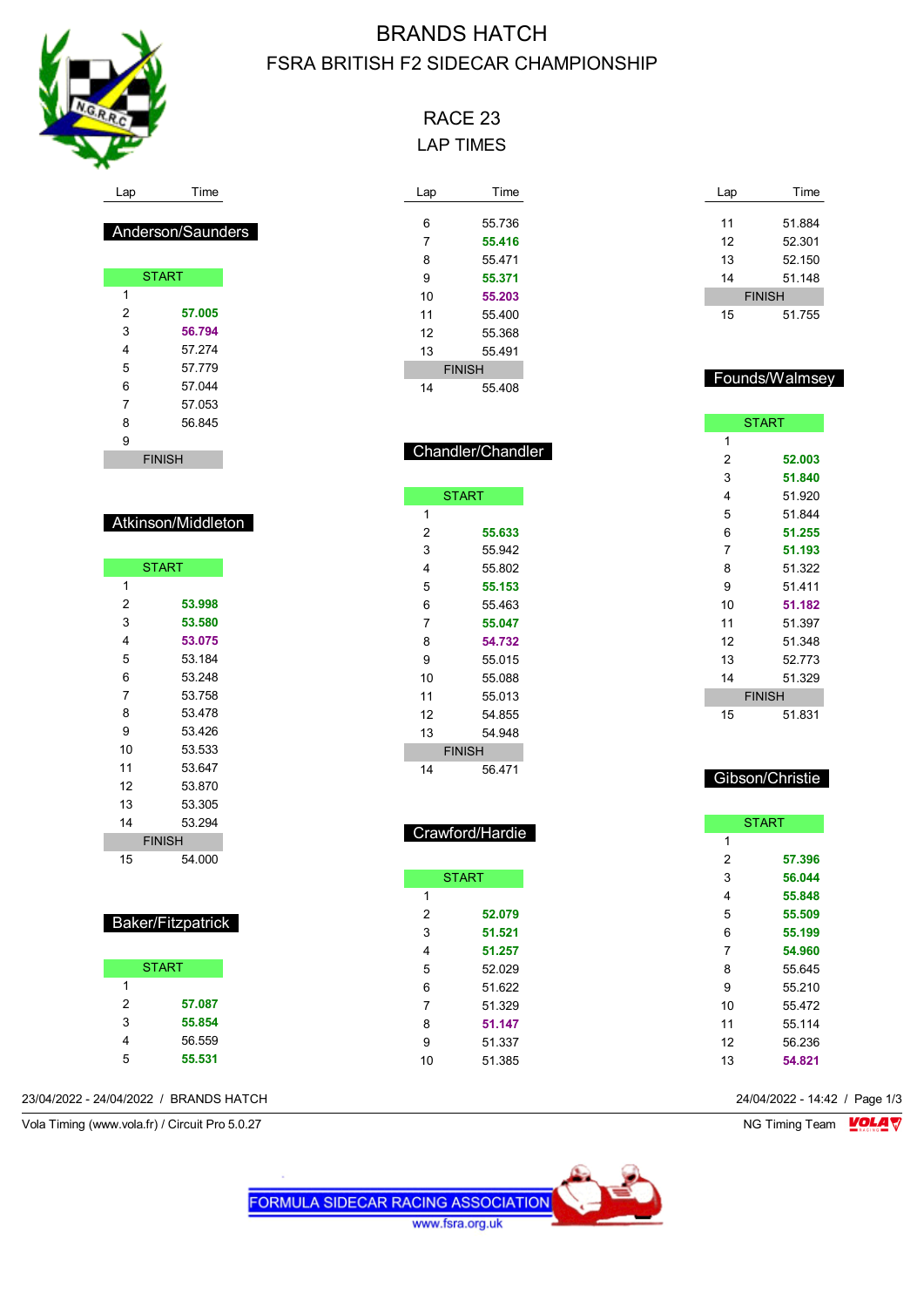

Anderson/Saunders

**START** 

 **57.005 56.794** 57.274 57.779 57.044 57.053 56.845

FINISH

Atkinson/Middleton

**START** 

 **53.998 53.580 53.075** 53.184 53.248 53.758 53.478 53.426 53.533 53.647 53.870 53.305 53.294 FINISH 54.000

 $\overline{1}$ 

# BRANDS HATCH FSRA BRITISH F2 SIDECAR CHAMPIONSHIP

# RACE 23 LAP TIMES

| Lap           | Time   |  |  |  |
|---------------|--------|--|--|--|
|               |        |  |  |  |
| 6             | 55.736 |  |  |  |
| 7             | 55.416 |  |  |  |
| 8             | 55 471 |  |  |  |
| 9             | 55.371 |  |  |  |
| 10            | 55.203 |  |  |  |
| 11            | 55 400 |  |  |  |
| 12            | 55 368 |  |  |  |
| 13            | 55 491 |  |  |  |
| <b>FINISH</b> |        |  |  |  |
| 14            | 55 408 |  |  |  |

| Lap           | Time   |  |
|---------------|--------|--|
|               |        |  |
| 11            | 51.884 |  |
| 12            | 52.301 |  |
| 13            | 52.150 |  |
| 14            | 51.148 |  |
| <b>FINISH</b> |        |  |
| 15            | 51.755 |  |

#### Founds/Walmsey

| <b>START</b> |               |
|--------------|---------------|
| 1            |               |
| 2            | 52.003        |
| 3            | 51.840        |
| 4            | 51.920        |
| 5            | 51.844        |
| 6            | 51.255        |
| 7            | 51.193        |
| 8            | 51.322        |
| 9            | 51 411        |
| 10           | 51.182        |
| 11           | 51.397        |
| 12           | 51.348        |
| 13           | 52.773        |
| 14           | 51.329        |
|              | <b>FINISH</b> |
| 15           | 51.831        |

## Gibson/Christie

|    | Crawford/Hardie |    | <b>START</b> |
|----|-----------------|----|--------------|
|    |                 | 1  |              |
|    |                 | 2  | 57.396       |
|    | <b>START</b>    | 3  | 56.044       |
| 1  |                 | 4  | 55.848       |
| 2  | 52.079          | 5  | 55.509       |
| 3  | 51.521          | 6  | 55.199       |
| 4  | 51.257          | 7  | 54.960       |
| 5  | 52.029          | 8  | 55.645       |
| 6  | 51.622          | 9  | 55.210       |
| 7  | 51.329          | 10 | 55.472       |
| 8  | 51.147          | 11 | 55.114       |
| 9  | 51.337          | 12 | 56.236       |
| 10 | 51.385          | 13 | 54.821       |

23/04/2022 - 24/04/2022 / BRANDS HATCH 24/04/2022 - 14:42 / Page 1/3

Baker/Fitzpatrick

START

 **57.087 55.854** 56.559 **55.531**

Vola Timing (www.vola.fr) / Circuit Pro 5.0.27 NG Timing Team NG Timing Team NG Timing Team NG Timing Team NG



#### START **55.633** 55.942

Chandler/Chandler

| 4             | 55802  |  |
|---------------|--------|--|
| 5             | 55.153 |  |
| 6             | 55.463 |  |
| 7             | 55.047 |  |
| 8             | 54.732 |  |
| 9             | 55 015 |  |
| 10            | 55 088 |  |
| 11            | 55.013 |  |
| 12            | 54.855 |  |
| 13            | 54 948 |  |
| <b>FINISH</b> |        |  |
| 14            | 56 471 |  |

I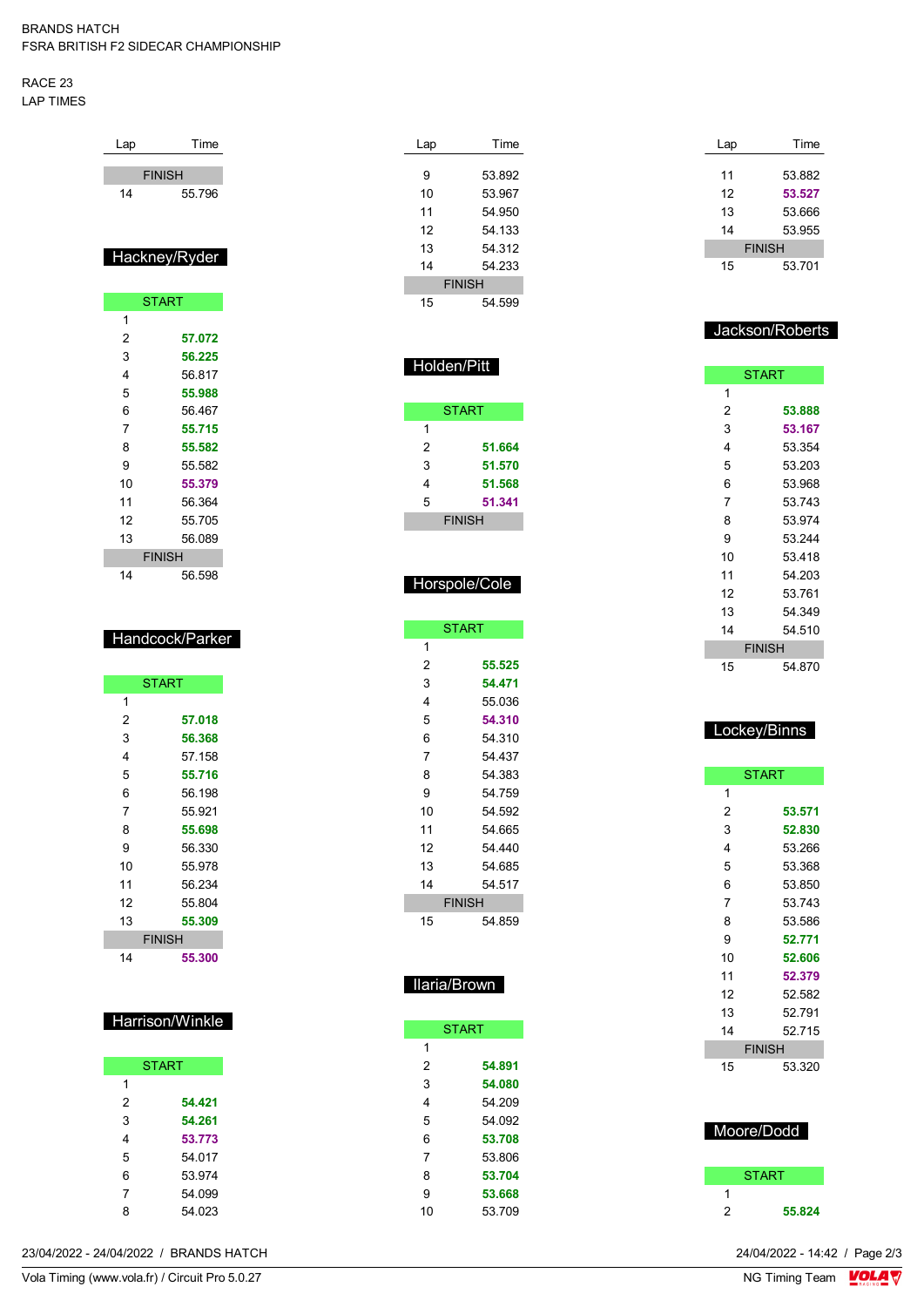#### RACE 23 LAP TIMES

| Lap           | Time          |  |
|---------------|---------------|--|
| <b>FINISH</b> |               |  |
| 14            | 55.796        |  |
|               |               |  |
|               |               |  |
|               | Hackney/Ryder |  |
|               |               |  |
|               | <b>START</b>  |  |
| 1             |               |  |
| 2             | 57.072        |  |
| 3             | 56.225        |  |
| 4             | 56.817        |  |
| 5             | 55.988        |  |
| 6             | 56.467        |  |
| 7             | 55.715        |  |
| 8             | 55.582        |  |
| 9             | 55.582        |  |
| 10            | 55.379        |  |
| 11            | 56.364        |  |
| 12            | 55.705        |  |
| 13            | 56.089        |  |
|               | <b>FINISH</b> |  |
| 14            | 56.598        |  |
|               |               |  |

#### Handcock/Parker

|    | <b>START</b>  |  |
|----|---------------|--|
| 1  |               |  |
| 2  | 57.018        |  |
| 3  | 56.368        |  |
| 4  | 57.158        |  |
| 5  | 55.716        |  |
| 6  | 56.198        |  |
| 7  | 55.921        |  |
| 8  | 55.698        |  |
| 9  | 56.330        |  |
| 10 | 55.978        |  |
| 11 | 56.234        |  |
| 12 | 55.804        |  |
| 13 | 55.309        |  |
|    | <b>FINISH</b> |  |
| 14 | 55.300        |  |

## Harrison/Winkle

|   | <b>START</b> |  |  |
|---|--------------|--|--|
| 1 |              |  |  |
| 2 | 54.421       |  |  |
| 3 | 54.261       |  |  |
| 4 | 53.773       |  |  |
| 5 | 54 017       |  |  |
| 6 | 53.974       |  |  |
| 7 | 54.099       |  |  |
| 8 | 54.023       |  |  |

| Lap           | Time   |  |
|---------------|--------|--|
|               |        |  |
| 9             | 53.892 |  |
| 10            | 53.967 |  |
| 11            | 54.950 |  |
| 12            | 54.133 |  |
| 13            | 54 312 |  |
| 14            | 54 233 |  |
| <b>FINISH</b> |        |  |
| 15            | 54.599 |  |

Holden/Pitt

**START** 

 **51.664 51.570 51.568 51.341** FINISH

Horspole/Cole

**START** 

 **55.525 54.471** 55.036 **54.310** 54.310 54.437 54.383 54.759 54.592 54.665 54.440 54.685 54.517 FINISH 54.859

Ilaria/Brown

**START** 

 **54.891 54.080** 54.209 54.092 **53.708** 53.806 **53.704 53.668** 53.709

| Lap           | Time   |  |
|---------------|--------|--|
|               |        |  |
| 11            | 53.882 |  |
| 12            | 53.527 |  |
| 13            | 53.666 |  |
| 14            | 53.955 |  |
| <b>FINISH</b> |        |  |
| 15            | 53.701 |  |

### Jackson/Roberts

| <b>START</b>  |        |
|---------------|--------|
| 1             |        |
| 2             | 53.888 |
| 3             | 53.167 |
| 4             | 53.354 |
| 5             | 53.203 |
| 6             | 53.968 |
| 7             | 53.743 |
| 8             | 53.974 |
| 9             | 53.244 |
| 10            | 53.418 |
| 11            | 54.203 |
| 12            | 53.761 |
| 13            | 54.349 |
| 14            | 54.510 |
| <b>FINISH</b> |        |
| 15            | 54.870 |

## Lockey/Binns

|               | <b>START</b> |
|---------------|--------------|
| 1             |              |
| 2             | 53.571       |
| 3             | 52.830       |
| 4             | 53.266       |
| 5             | 53.368       |
| 6             | 53.850       |
| 7             | 53.743       |
| 8             | 53.586       |
| 9             | 52.771       |
| 10            | 52.606       |
| 11            | 52.379       |
| 12            | 52.582       |
| 13            | 52.791       |
| 14            | 52.715       |
| <b>FINISH</b> |              |
| 15            | 53.320       |
|               |              |
|               |              |

## Moore/Dodd

|   | <b>START</b> |
|---|--------------|
|   |              |
| ッ | 55.824       |

23/04/2022 - 24/04/2022 / BRANDS HATCH

Vola Timing (www.vola.fr) / Circuit Pro 5.0.27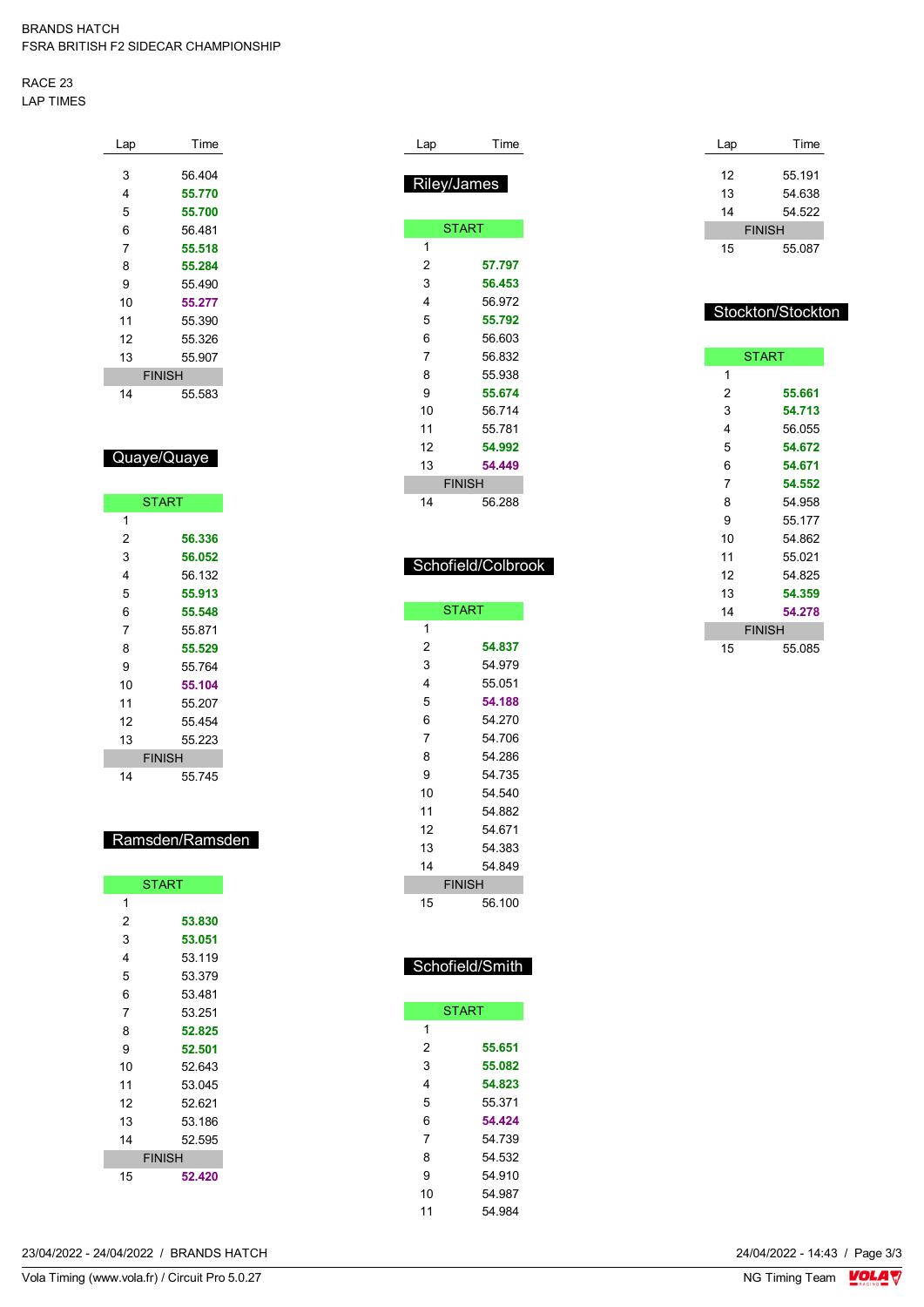RACE 23 LAP TIMES

| Lap | Time          |
|-----|---------------|
|     |               |
| 3   | 56.404        |
| 4   | 55.770        |
| 5   | 55.700        |
| 6   | 56.481        |
| 7   | 55.518        |
| 8   | 55.284        |
| 9   | 55 490        |
| 10  | 55.277        |
| 11  | 55.390        |
| 12  | 55.326        |
| 13  | 55.907        |
|     | <b>FINISH</b> |
| 14  | 55.583        |

## Quaye/Quaye

|    | <b>START</b>  |
|----|---------------|
| 1  |               |
| 2  | 56.336        |
| 3  | 56.052        |
| 4  | 56.132        |
| 5  | 55.913        |
| 6  | 55.548        |
| 7  | 55 871        |
| 8  | 55.529        |
| 9  | 55.764        |
| 10 | 55.104        |
| 11 | 55.207        |
| 12 | 55.454        |
| 13 | 55.223        |
|    | <b>FINISH</b> |
| 14 | 55.745        |

## Ramsden/Ramsden

|    | <b>START</b>  |
|----|---------------|
| 1  |               |
| 2  | 53.830        |
| 3  | 53.051        |
| 4  | 53.119        |
| 5  | 53.379        |
| 6  | 53.481        |
| 7  | 53.251        |
| 8  | 52.825        |
| 9  | 52.501        |
| 10 | 52.643        |
| 11 | 53.045        |
| 12 | 52.621        |
| 13 | 53.186        |
| 14 | 52.595        |
|    | <b>FINISH</b> |
| 15 | 52.420        |

| Lap            | Time               |
|----------------|--------------------|
|                | Riley/James        |
|                |                    |
|                | <b>START</b>       |
| 1              |                    |
| $\overline{2}$ | 57.797             |
| 3              | 56.453             |
| 4              | 56.972             |
| 5              | 55.792             |
| 6              | 56.603             |
| $\overline{7}$ | 56.832             |
| 8              | 55.938             |
| 9              | 55.674             |
| 10             | 56.714             |
| 11             | 55.781             |
| 12             | 54.992             |
| 13             | 54.449             |
|                | <b>FINISH</b>      |
| 14             | 56.288             |
|                |                    |
|                |                    |
|                | Schofield/Colbrook |

|    | <b>START</b>  |
|----|---------------|
| 1  |               |
| 2  | 54.837        |
| 3  | 54.979        |
| 4  | 55.051        |
| 5  | 54.188        |
| 6  | 54.270        |
| 7  | 54.706        |
| 8  | 54.286        |
| 9  | 54.735        |
| 10 | 54.540        |
| 11 | 54.882        |
| 12 | 54.671        |
| 13 | 54.383        |
| 14 | 54.849        |
|    | <b>FINISH</b> |
| 15 | 56.100        |

| Schofield/Smith |
|-----------------|
|-----------------|

|    | <b>START</b> |
|----|--------------|
| 1  |              |
| 2  | 55.651       |
| 3  | 55.082       |
| 4  | 54.823       |
| 5  | 55.371       |
| 6  | 54.424       |
| 7  | 54 739       |
| 8  | 54 532       |
| 9  | 54.910       |
| 10 | 54 987       |
| 11 | 54 984       |

| Lap | Time          |
|-----|---------------|
|     |               |
| 12  | 55.191        |
| 13  | 54.638        |
| 14  | 54.522        |
|     | <b>FINISH</b> |
| 15  | 55 087        |

## Stockton/Stockton

|    | <b>START</b>  |
|----|---------------|
| 1  |               |
| 2  | 55.661        |
| 3  | 54.713        |
| 4  | 56.055        |
| 5  | 54.672        |
| 6  | 54.671        |
| 7  | 54.552        |
| 8  | 54.958        |
| 9  | 55.177        |
| 10 | 54.862        |
| 11 | 55.021        |
| 12 | 54.825        |
| 13 | 54.359        |
| 14 | 54.278        |
|    | <b>FINISH</b> |
| 15 | 55.085        |

24/04/2022 - 14:43 / Page 3/3<br>NG Timing Team  $\frac{\text{VOLA}}{\text{V}}$